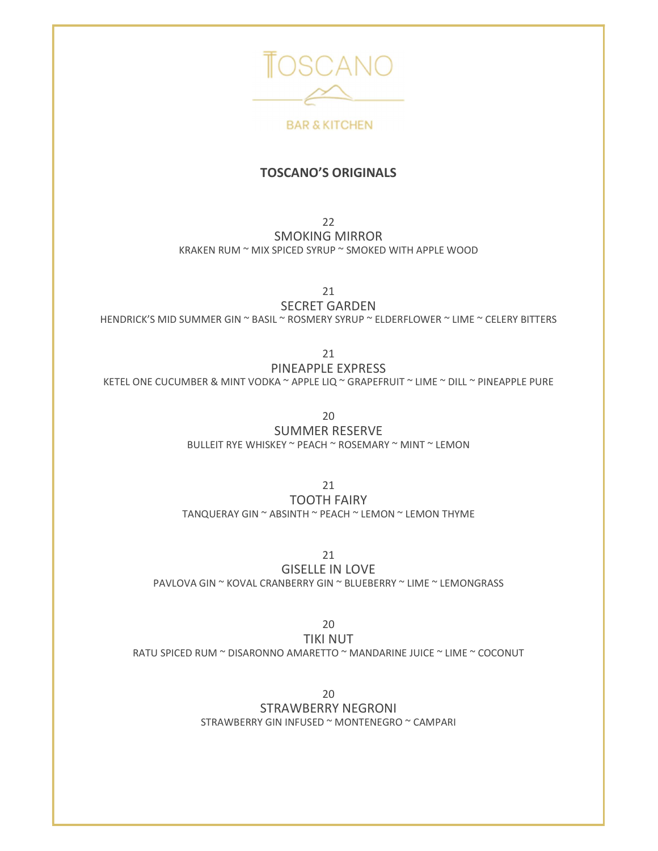

**BAR & KITCHEN** 

#### TOSCANO'S ORIGINALS

 $22$ SMOKING MIRROR KRAKEN RUM ~ MIX SPICED SYRUP ~ SMOKED WITH APPLE WOOD

21

SECRET GARDEN HENDRICK'S MID SUMMER GIN ~ BASIL ~ ROSMERY SYRUP ~ ELDERFLOWER ~ LIME ~ CELERY BITTERS

> 21 PINEAPPLE EXPRESS

KETEL ONE CUCUMBER & MINT VODKA ~ APPLE LIQ ~ GRAPEFRUIT ~ LIME ~ DILL ~ PINEAPPLE PURE

20

SUMMER RESERVE BULLEIT RYE WHISKEY ~ PEACH ~ ROSEMARY ~ MINT ~ LEMON

21 TOOTH FAIRY TANQUERAY GIN ~ ABSINTH ~ PEACH ~ LEMON ~ LEMON THYME

21

GISELLE IN LOVE PAVLOVA GIN ~ KOVAL CRANBERRY GIN ~ BLUEBERRY ~ LIME ~ LEMONGRASS

20 TIKI NUT RATU SPICED RUM ~ DISARONNO AMARETTO ~ MANDARINE JUICE ~ LIME ~ COCONUT

20

STRAWBERRY NEGRONI STRAWBERRY GIN INFUSED ~ MONTENEGRO ~ CAMPARI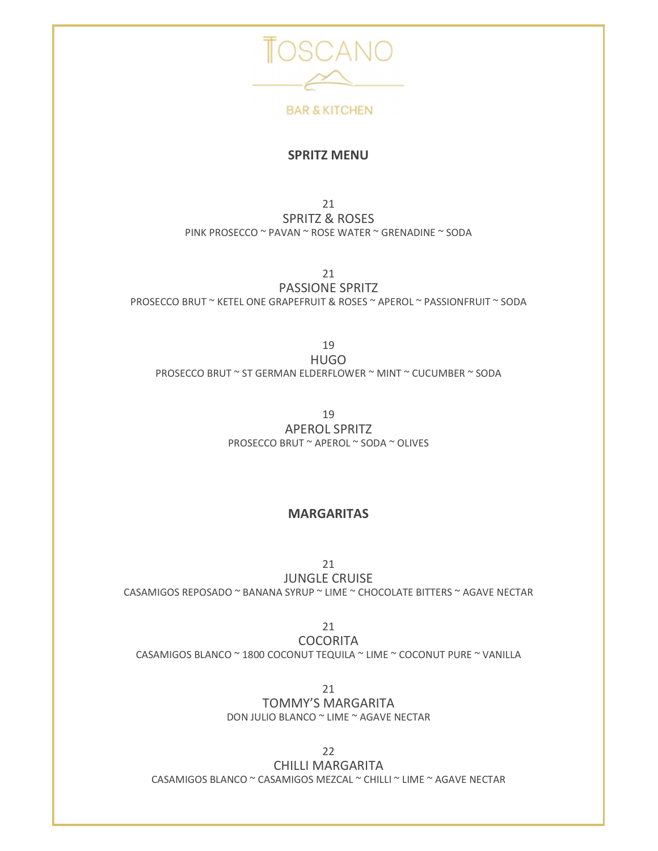

#### SPRITZ MENU

21 SPRITZ & ROSES PINK PROSECCO ~ PAVAN ~ ROSE WATER ~ GRENADINE ~ SODA

21

PASSIONE SPRITZ PROSECCO BRUT ~ KETEL ONE GRAPEFRUIT & ROSES ~ APEROL ~ PASSIONFRUIT ~ SODA

19 HUGO PROSECCO BRUT ~ ST GERMAN ELDERFLOWER ~ MINT ~ CUCUMBER ~ SODA

> 19 APEROL SPRITZ PROSECCO BRUT ~ APEROL ~ SODA ~ OLIVES

#### MARGARITAS

21 JUNGLE CRUISE CASAMIGOS REPOSADO ~ BANANA SYRUP ~ LIME ~ CHOCOLATE BITTERS ~ AGAVE NECTAR

21 **COCORITA** CASAMIGOS BLANCO ~ 1800 COCONUT TEQUILA ~ LIME ~ COCONUT PURE ~ VANILLA

> 21 TOMMY'S MARGARITA DON JULIO BLANCO ~ LIME ~ AGAVE NECTAR

22 CHILLI MARGARITA CASAMIGOS BLANCO ~ CASAMIGOS MEZCAL ~ CHILLI ~ LIME ~ AGAVE NECTAR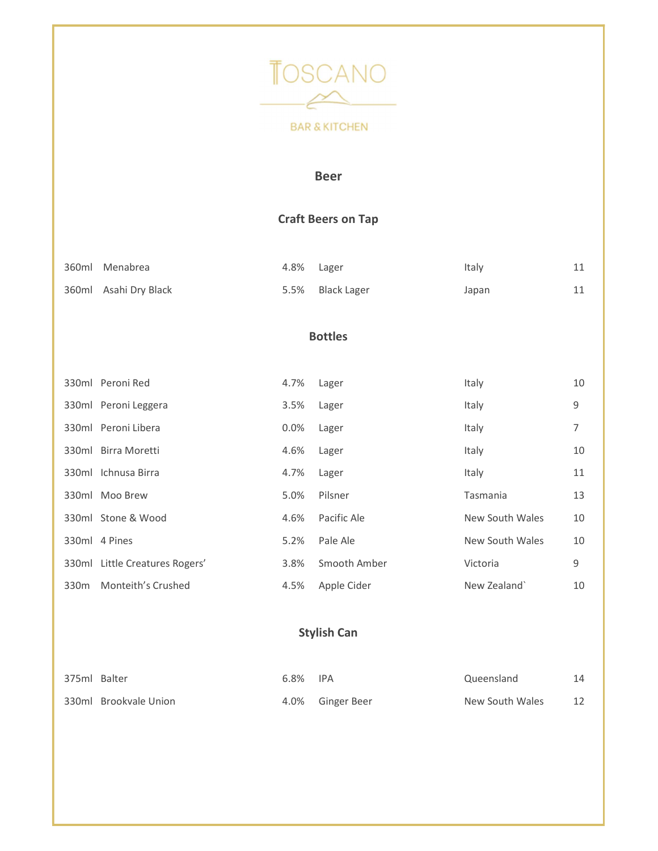

#### Beer

### Craft Beers on Tap

| 360ml Menabrea        | 4.8% Lager |                  | Italy | ᆠᆠ |  |
|-----------------------|------------|------------------|-------|----|--|
| 360ml Asahi Dry Black |            | 5.5% Black Lager | Japan | ᆂᆂ |  |

#### Bottles

|                  | 330ml Peroni Red               | 4.7%    | Lager        | Italy           | 10 |  |
|------------------|--------------------------------|---------|--------------|-----------------|----|--|
|                  | 330ml Peroni Leggera           | 3.5%    | Lager        | Italy           | 9  |  |
|                  | 330ml Peroni Libera            | $0.0\%$ | Lager        | Italy           | 7  |  |
|                  | 330ml Birra Moretti            | 4.6%    | Lager        | Italy           | 10 |  |
|                  | 330ml Ichnusa Birra            | 4.7%    | Lager        | Italy           | 11 |  |
|                  | 330ml Moo Brew                 | 5.0%    | Pilsner      | Tasmania        | 13 |  |
|                  | 330ml Stone & Wood             | 4.6%    | Pacific Ale  | New South Wales | 10 |  |
|                  | 330ml 4 Pines                  | 5.2%    | Pale Ale     | New South Wales | 10 |  |
|                  | 330ml Little Creatures Rogers' | 3.8%    | Smooth Amber | Victoria        | 9  |  |
| 330 <sub>m</sub> | Monteith's Crushed             | 4.5%    | Apple Cider  | New Zealand`    | 10 |  |

## Stylish Can

| 375ml Balter |                       | 6.8% | <b>IPA</b>       | Queensland      |  |
|--------------|-----------------------|------|------------------|-----------------|--|
|              | 330ml Brookvale Union |      | 4.0% Ginger Beer | New South Wales |  |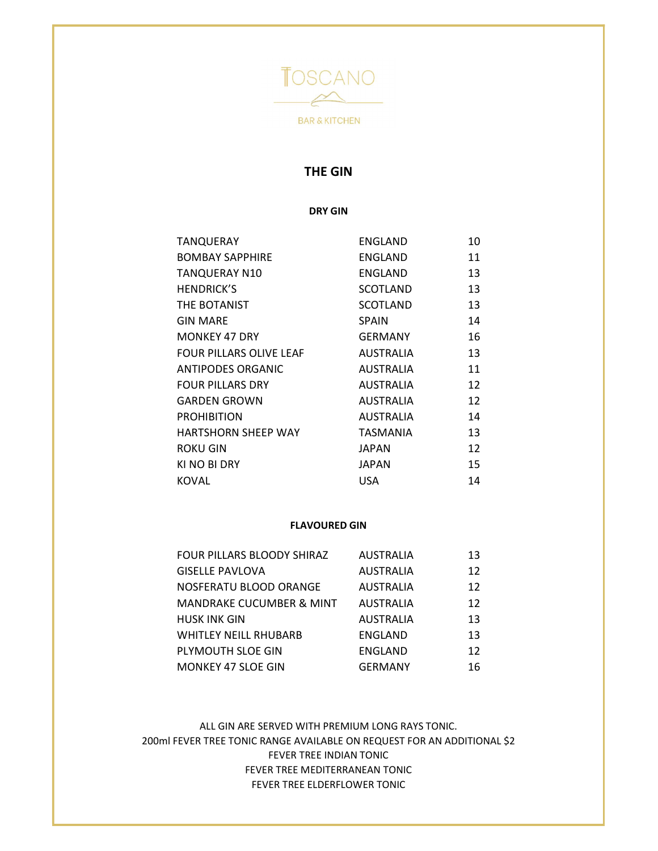

#### THE GIN

DRY GIN

| TANQUERAY                | ENGLAND      | 10 |
|--------------------------|--------------|----|
| <b>BOMBAY SAPPHIRE</b>   | ENGLAND      | 11 |
| <b>TANQUERAY N10</b>     | ENGLAND      | 13 |
| <b>HENDRICK'S</b>        | SCOTLAND     | 13 |
| THE BOTANIST             | SCOTLAND     | 13 |
| <b>GIN MARE</b>          | <b>SPAIN</b> | 14 |
| <b>MONKEY 47 DRY</b>     | GERMANY      | 16 |
| FOUR PILLARS OLIVE LEAF  | AUSTRALIA    | 13 |
| <b>ANTIPODES ORGANIC</b> | AUSTRALIA    | 11 |
| <b>FOUR PILLARS DRY</b>  | AUSTRALIA    | 12 |
| <b>GARDEN GROWN</b>      | AUSTRALIA    | 12 |
| <b>PROHIBITION</b>       | AUSTRALIA    | 14 |
| HARTSHORN SHEEP WAY      | TASMANIA     | 13 |
| <b>ROKU GIN</b>          | JAPAN        | 12 |
| KI NO BI DRY             | JAPAN        | 15 |
| <b>KOVAL</b>             | <b>USA</b>   | 14 |

#### FLAVOURED GIN

| FOUR PILLARS BLOODY SHIRAZ          | <b>AUSTRALIA</b> | 13 |  |
|-------------------------------------|------------------|----|--|
| <b>GISELLE PAVLOVA</b>              | AUSTRALIA        | 12 |  |
| NOSFERATU BLOOD ORANGE              | AUSTRALIA        | 12 |  |
| <b>MANDRAKE CUCUMBER &amp; MINT</b> | AUSTRALIA        | 12 |  |
| <b>HUSK INK GIN</b>                 | AUSTRALIA        | 13 |  |
| WHITLEY NEILL RHUBARB               | ENGLAND          | 13 |  |
| PLYMOUTH SLOE GIN                   | ENGLAND          | 12 |  |
| <b>MONKEY 47 SLOE GIN</b>           | <b>GERMANY</b>   | 16 |  |

ALL GIN ARE SERVED WITH PREMIUM LONG RAYS TONIC. 200ml FEVER TREE TONIC RANGE AVAILABLE ON REQUEST FOR AN ADDITIONAL \$2 FEVER TREE INDIAN TONIC FEVER TREE MEDITERRANEAN TONIC FEVER TREE ELDERFLOWER TONIC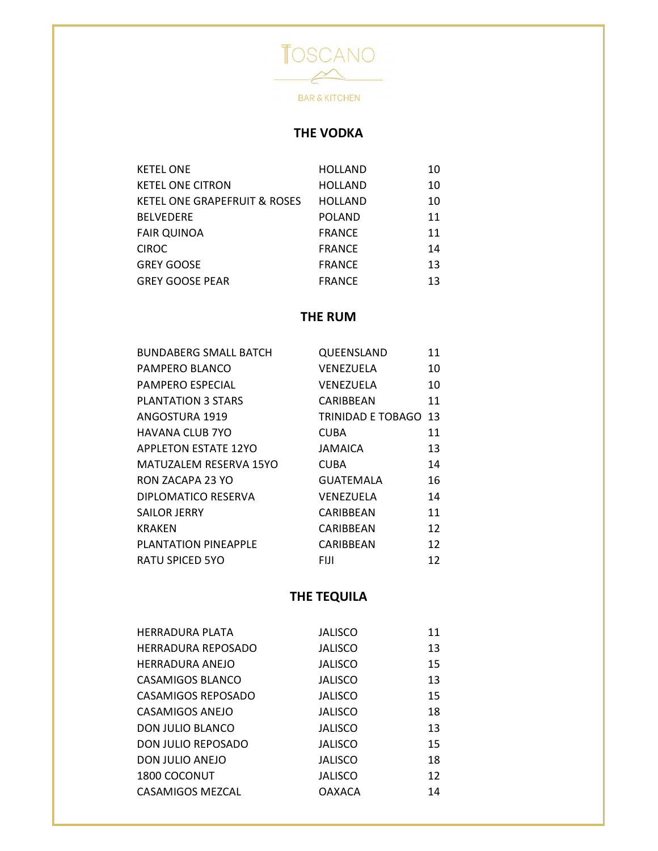

## THE VODKA

| <b>KETEL ONE</b>             | <b>HOLLAND</b> | 10 |
|------------------------------|----------------|----|
| <b>KETEL ONE CITRON</b>      | <b>HOLLAND</b> | 10 |
| KETEL ONE GRAPEFRUIT & ROSES | <b>HOLLAND</b> | 10 |
| <b>BELVEDERE</b>             | <b>POLAND</b>  | 11 |
| <b>FAIR QUINOA</b>           | <b>FRANCE</b>  | 11 |
| <b>CIROC</b>                 | <b>FRANCE</b>  | 14 |
| <b>GREY GOOSE</b>            | <b>FRANCE</b>  | 13 |
| <b>GREY GOOSE PEAR</b>       | <b>FRANCE</b>  | 13 |

### THE RUM

| <b>BUNDABERG SMALL BATCH</b> | QUEENSLAND                  | 11 |
|------------------------------|-----------------------------|----|
| PAMPERO BLANCO               | VENEZUELA                   | 10 |
| PAMPERO ESPECIAL             | VENEZUELA                   | 10 |
| <b>PLANTATION 3 STARS</b>    | CARIBBEAN                   | 11 |
| ANGOSTURA 1919               | <b>TRINIDAD E TOBAGO 13</b> |    |
| HAVANA CLUB 7YO              | CUBA                        | 11 |
| <b>APPLETON ESTATE 12YO</b>  | JAMAICA                     | 13 |
| MATUZALEM RESERVA 15YO       | <b>CUBA</b>                 | 14 |
| RON ZACAPA 23 YO             | GUATEMALA                   | 16 |
| DIPLOMATICO RESERVA          | VENEZUELA                   | 14 |
| <b>SAILOR JERRY</b>          | CARIBBEAN                   | 11 |
| <b>KRAKEN</b>                | CARIBBEAN                   | 12 |
| PLANTATION PINEAPPLE         | CARIBBEAN                   | 12 |
| <b>RATU SPICED 5YO</b>       | FIJI.                       | 12 |

## THE TEQUILA

| HERRADURA PLATA        | <b>JALISCO</b> | 11 |
|------------------------|----------------|----|
| HERRADURA REPOSADO     | <b>JALISCO</b> | 13 |
| <b>HERRADURA ANEJO</b> | <b>JALISCO</b> | 15 |
| CASAMIGOS BLANCO       | <b>JALISCO</b> | 13 |
| CASAMIGOS REPOSADO     | <b>JALISCO</b> | 15 |
| CASAMIGOS ANEJO        | <b>JALISCO</b> | 18 |
| DON JULIO BLANCO       | <b>JALISCO</b> | 13 |
| DON JULIO REPOSADO     | <b>JALISCO</b> | 15 |
| DON JULIO ANEJO        | <b>JALISCO</b> | 18 |
| 1800 COCONUT           | <b>JALISCO</b> | 12 |
| CASAMIGOS MEZCAL       | <b>OAXACA</b>  | 14 |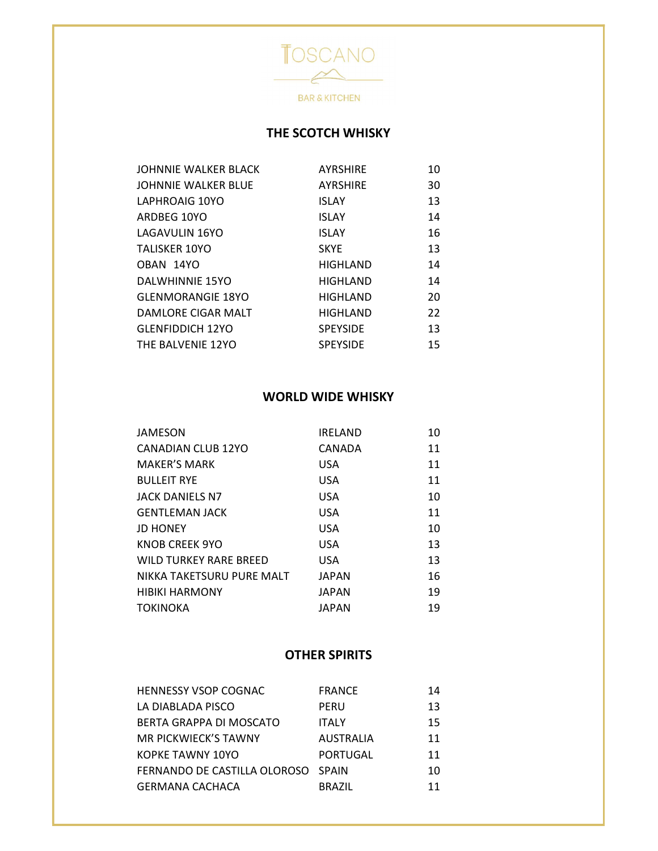

## THE SCOTCH WHISKY

### WORLD WIDE WHISKY

| JAMESON                       | <b>IRELAND</b> | 10 |  |
|-------------------------------|----------------|----|--|
| CANADIAN CLUB 12YO            | CANADA         | 11 |  |
| <b>MAKER'S MARK</b>           | <b>USA</b>     | 11 |  |
| <b>BULLEIT RYE</b>            | <b>USA</b>     | 11 |  |
| <b>JACK DANIELS N7</b>        | <b>USA</b>     | 10 |  |
| <b>GENTLEMAN JACK</b>         | <b>USA</b>     | 11 |  |
| <b>JD HONEY</b>               | <b>USA</b>     | 10 |  |
| KNOB CREEK 9YO                | <b>USA</b>     | 13 |  |
| <b>WILD TURKEY RARE BREED</b> | <b>USA</b>     | 13 |  |
| NIKKA TAKETSURU PURE MALT     | <b>JAPAN</b>   | 16 |  |
| <b>HIBIKI HARMONY</b>         | <b>JAPAN</b>   | 19 |  |
| <b>TOKINOKA</b>               | <b>JAPAN</b>   | 19 |  |
|                               |                |    |  |

#### OTHER SPIRITS

| <b>HENNESSY VSOP COGNAC</b>        | <b>FRANCE</b> | 14 |
|------------------------------------|---------------|----|
| LA DIABLADA PISCO                  | PERU          | 13 |
| BERTA GRAPPA DI MOSCATO            | <b>ITALY</b>  | 15 |
| MR PICKWIECK'S TAWNY               | AUSTRALIA     | 11 |
| KOPKE TAWNY 10YO                   | PORTUGAL      | 11 |
| FERNANDO DE CASTILLA OLOROSO SPAIN |               | 10 |
| <b>GERMANA CACHACA</b>             | <b>BRAZIL</b> | 11 |
|                                    |               |    |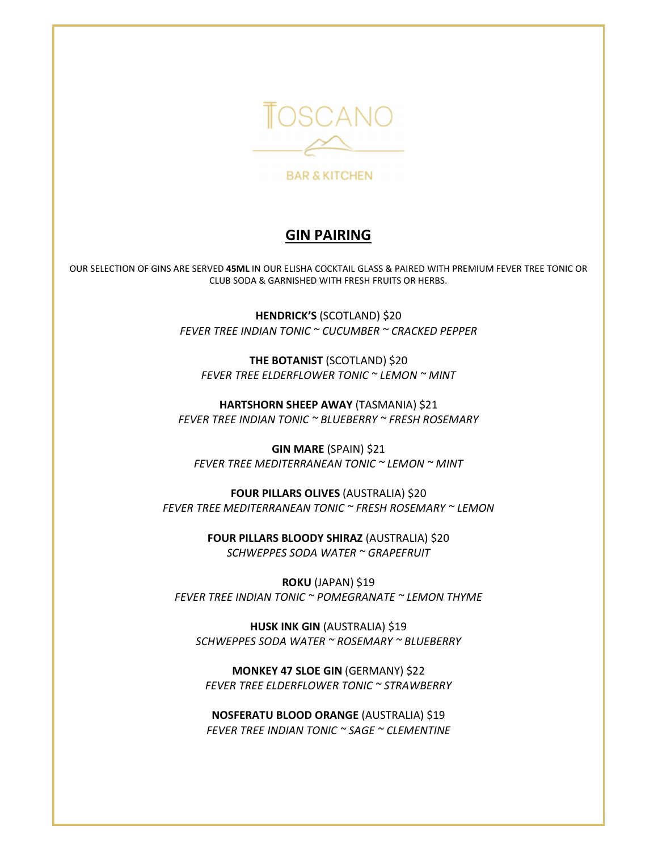

**BAR & KITCHEN** 

## GIN PAIRING

OUR SELECTION OF GINS ARE SERVED 45ML IN OUR ELISHA COCKTAIL GLASS & PAIRED WITH PREMIUM FEVER TREE TONIC OR CLUB SODA & GARNISHED WITH FRESH FRUITS OR HERBS.

> HENDRICK'S (SCOTLAND) \$20 FEVER TREE INDIAN TONIC ~ CUCUMBER ~ CRACKED PEPPER

THE BOTANIST (SCOTLAND) \$20 FEVER TREE ELDERFLOWER TONIC ~ LEMON ~ MINT

HARTSHORN SHEEP AWAY (TASMANIA) \$21 FEVER TREE INDIAN TONIC ~ BLUEBERRY ~ FRESH ROSEMARY

GIN MARE (SPAIN) \$21 FEVER TREE MEDITERRANEAN TONIC ~ LEMON ~ MINT

FOUR PILLARS OLIVES (AUSTRALIA) \$20 FEVER TREE MEDITERRANEAN TONIC ~ FRESH ROSEMARY ~ LEMON

> FOUR PILLARS BLOODY SHIRAZ (AUSTRALIA) \$20 SCHWEPPES SODA WATER ~ GRAPEFRUIT

ROKU (JAPAN) \$19 FEVER TREE INDIAN TONIC ~ POMEGRANATE ~ LEMON THYME

HUSK INK GIN (AUSTRALIA) \$19 SCHWEPPES SODA WATER ~ ROSEMARY ~ BLUEBERRY

MONKEY 47 SLOE GIN (GERMANY) \$22 FEVER TREE ELDERFLOWER TONIC ~ STRAWBERRY

NOSFERATU BLOOD ORANGE (AUSTRALIA) \$19 FEVER TREE INDIAN TONIC ~ SAGE ~ CLEMENTINE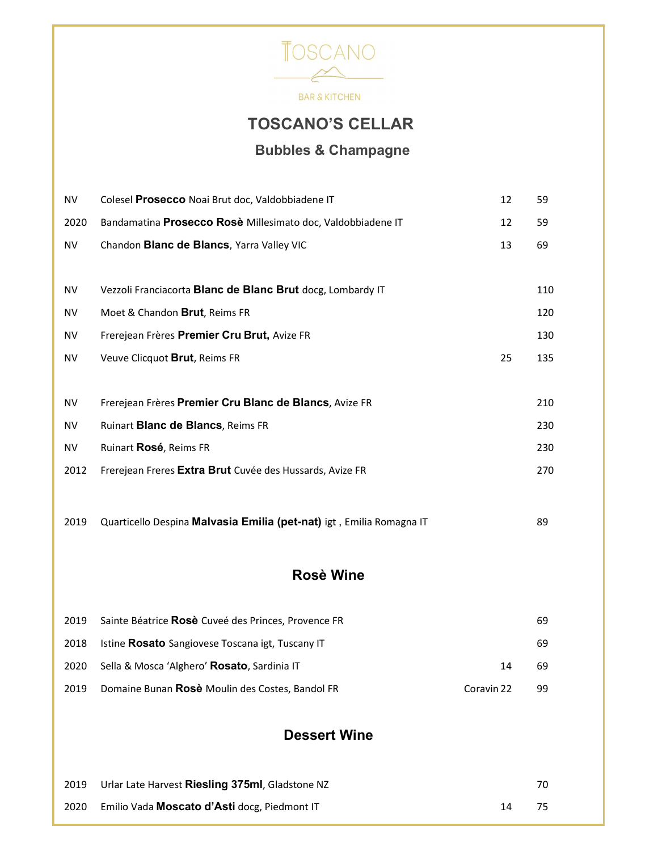

**BAR & KITCHEN** 

# TOSCANO'S CELLAR

## Bubbles & Champagne

| <b>NV</b>  | Colesel Prosecco Noai Brut doc, Valdobbiadene IT                     | 12         | 59  |
|------------|----------------------------------------------------------------------|------------|-----|
| 2020       | Bandamatina Prosecco Rosè Millesimato doc, Valdobbiadene IT          | 12         | 59  |
| <b>NV</b>  | Chandon Blanc de Blancs, Yarra Valley VIC                            | 13         | 69  |
|            |                                                                      |            |     |
| <b>NV</b>  | Vezzoli Franciacorta Blanc de Blanc Brut docg, Lombardy IT           |            | 110 |
| <b>NV</b>  | Moet & Chandon Brut, Reims FR                                        |            | 120 |
| <b>NV</b>  | Frerejean Frères Premier Cru Brut, Avize FR                          |            | 130 |
| <b>NV</b>  | Veuve Clicquot Brut, Reims FR                                        | 25         | 135 |
|            |                                                                      |            |     |
| ${\sf NV}$ | Frerejean Frères Premier Cru Blanc de Blancs, Avize FR               |            | 210 |
| <b>NV</b>  | Ruinart Blanc de Blancs, Reims FR                                    |            | 230 |
| <b>NV</b>  | Ruinart Rosé, Reims FR                                               |            | 230 |
| 2012       | Frerejean Freres Extra Brut Cuvée des Hussards, Avize FR             |            | 270 |
|            |                                                                      |            |     |
| 2019       | Quarticello Despina Malvasia Emilia (pet-nat) igt, Emilia Romagna IT |            | 89  |
|            |                                                                      |            |     |
|            | <b>Rosè Wine</b>                                                     |            |     |
|            |                                                                      |            |     |
| 2019       | Sainte Béatrice Rosè Cuveé des Princes, Provence FR                  |            | 69  |
| 2018       | Istine Rosato Sangiovese Toscana igt, Tuscany IT                     |            | 69  |
| 2020       | Sella & Mosca 'Alghero' Rosato, Sardinia IT                          | 14         | 69  |
| 2019       | Domaine Bunan Rosè Moulin des Costes, Bandol FR                      | Coravin 22 | 99  |
|            |                                                                      |            |     |
|            | <b>Dessert Wine</b>                                                  |            |     |
|            |                                                                      |            |     |
| 2019       | Urlar Late Harvest Riesling 375ml, Gladstone NZ                      |            | 70  |
| 2020       | Emilio Vada Moscato d'Asti docg, Piedmont IT                         | 14         | 75  |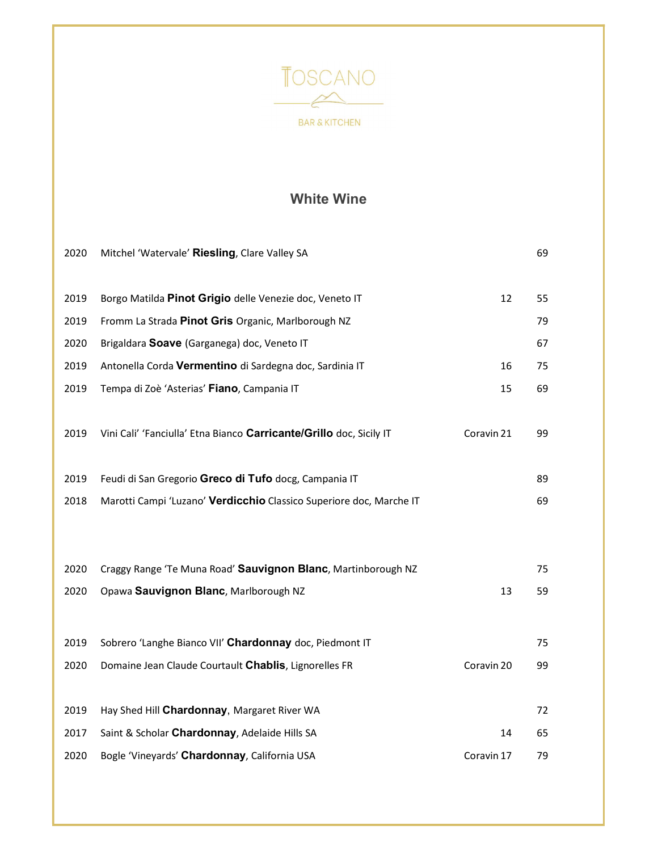

## White Wine

| 2020 | Mitchel 'Watervale' Riesling, Clare Valley SA                       |            | 69 |  |
|------|---------------------------------------------------------------------|------------|----|--|
| 2019 | Borgo Matilda Pinot Grigio delle Venezie doc, Veneto IT             | 12         | 55 |  |
|      |                                                                     |            |    |  |
| 2019 | Fromm La Strada Pinot Gris Organic, Marlborough NZ                  |            | 79 |  |
| 2020 | Brigaldara Soave (Garganega) doc, Veneto IT                         |            | 67 |  |
| 2019 | Antonella Corda Vermentino di Sardegna doc, Sardinia IT             | 16         | 75 |  |
| 2019 | Tempa di Zoè 'Asterias' Fiano, Campania IT                          | 15         | 69 |  |
|      |                                                                     |            |    |  |
| 2019 | Vini Cali' 'Fanciulla' Etna Bianco Carricante/Grillo doc, Sicily IT | Coravin 21 | 99 |  |
|      |                                                                     |            |    |  |
| 2019 | Feudi di San Gregorio Greco di Tufo docg, Campania IT               |            | 89 |  |
| 2018 | Marotti Campi 'Luzano' Verdicchio Classico Superiore doc, Marche IT |            | 69 |  |
|      |                                                                     |            |    |  |
|      |                                                                     |            |    |  |
| 2020 | Craggy Range 'Te Muna Road' Sauvignon Blanc, Martinborough NZ       |            | 75 |  |
| 2020 | Opawa Sauvignon Blanc, Marlborough NZ                               | 13         | 59 |  |
|      |                                                                     |            |    |  |
|      |                                                                     |            |    |  |
| 2019 | Sobrero 'Langhe Bianco VII' Chardonnay doc, Piedmont IT             |            | 75 |  |
| 2020 | Domaine Jean Claude Courtault Chablis, Lignorelles FR               | Coravin 20 | 99 |  |
|      |                                                                     |            |    |  |
| 2019 | Hay Shed Hill Chardonnay, Margaret River WA                         |            | 72 |  |
| 2017 | Saint & Scholar Chardonnay, Adelaide Hills SA                       | 14         | 65 |  |
| 2020 | Bogle 'Vineyards' Chardonnay, California USA                        | Coravin 17 | 79 |  |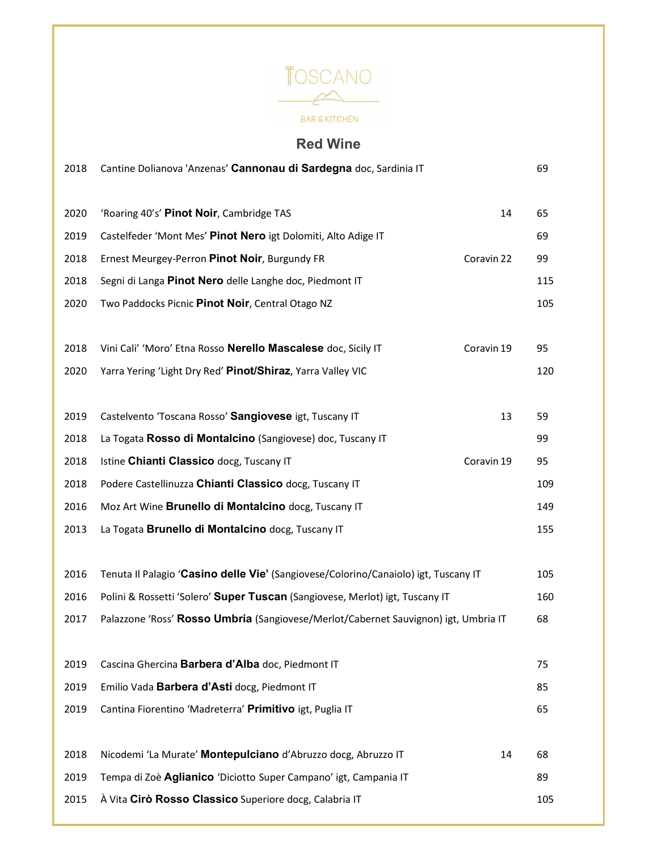

## Red Wine

| 2018 | Cantine Dolianova 'Anzenas' Cannonau di Sardegna doc, Sardinia IT                   |            | 69  |
|------|-------------------------------------------------------------------------------------|------------|-----|
| 2020 | 'Roaring 40's' Pinot Noir, Cambridge TAS                                            | 14         | 65  |
| 2019 | Castelfeder 'Mont Mes' Pinot Nero igt Dolomiti, Alto Adige IT                       |            | 69  |
| 2018 | Ernest Meurgey-Perron Pinot Noir, Burgundy FR                                       | Coravin 22 | 99  |
|      |                                                                                     |            |     |
| 2018 | Segni di Langa Pinot Nero delle Langhe doc, Piedmont IT                             |            | 115 |
| 2020 | Two Paddocks Picnic Pinot Noir, Central Otago NZ                                    |            | 105 |
| 2018 | Vini Cali' 'Moro' Etna Rosso Nerello Mascalese doc, Sicily IT                       | Coravin 19 | 95  |
| 2020 | Yarra Yering 'Light Dry Red' Pinot/Shiraz, Yarra Valley VIC                         |            | 120 |
|      |                                                                                     |            |     |
| 2019 | Castelvento 'Toscana Rosso' Sangiovese igt, Tuscany IT                              | 13         | 59  |
| 2018 | La Togata Rosso di Montalcino (Sangiovese) doc, Tuscany IT                          |            | 99  |
| 2018 | Istine Chianti Classico docg, Tuscany IT                                            | Coravin 19 | 95  |
| 2018 | Podere Castellinuzza Chianti Classico docg, Tuscany IT                              |            | 109 |
| 2016 | Moz Art Wine Brunello di Montalcino docg, Tuscany IT                                |            | 149 |
| 2013 | La Togata Brunello di Montalcino docg, Tuscany IT                                   |            | 155 |
|      |                                                                                     |            |     |
| 2016 | Tenuta Il Palagio 'Casino delle Vie' (Sangiovese/Colorino/Canaiolo) igt, Tuscany IT |            | 105 |
| 2016 | Polini & Rossetti 'Solero' Super Tuscan (Sangiovese, Merlot) igt, Tuscany IT        |            | 160 |
| 2017 | Palazzone 'Ross' Rosso Umbria (Sangiovese/Merlot/Cabernet Sauvignon) igt, Umbria IT |            | 68  |
|      |                                                                                     |            |     |
| 2019 | Cascina Ghercina Barbera d'Alba doc, Piedmont IT                                    |            | 75  |
| 2019 | Emilio Vada Barbera d'Asti docg, Piedmont IT                                        |            | 85  |
| 2019 | Cantina Fiorentino 'Madreterra' Primitivo igt, Puglia IT                            |            | 65  |
|      |                                                                                     |            |     |
| 2018 | Nicodemi 'La Murate' Montepulciano d'Abruzzo docg, Abruzzo IT                       | 14         | 68  |
| 2019 | Tempa di Zoè Aglianico 'Diciotto Super Campano' igt, Campania IT                    |            | 89  |
| 2015 | À Vita Cirò Rosso Classico Superiore docg, Calabria IT                              |            | 105 |